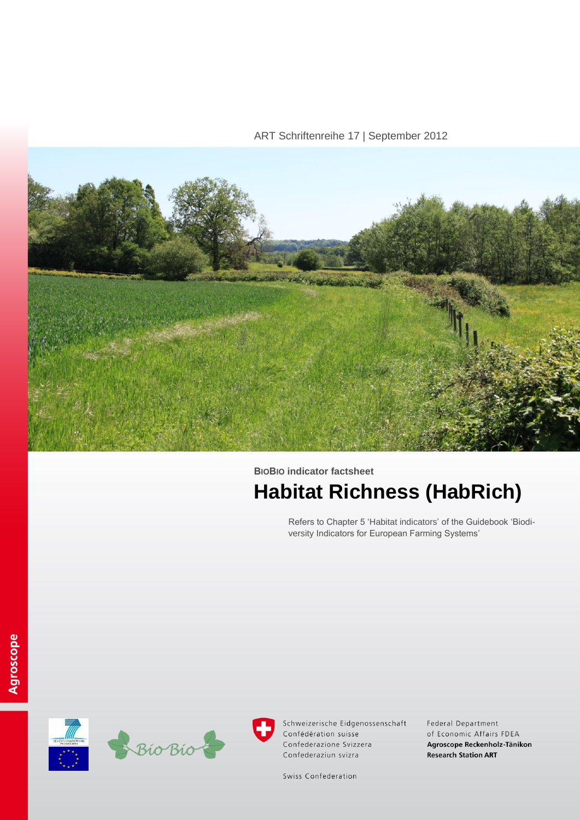## ART Schriftenreihe 17 | September 2012



# **BIOBIO indicator factsheet Habitat Richness (HabRich)**

Refers to Chapter 5 'Habitat indicators' of the Guidebook 'Biodiversity Indicators for European Farming Systems'





Schweizerische Eidgenossenschaft Confédération suisse Confederazione Svizzera Confederaziun svizra

Federal Department of Economic Affairs FDEA Agroscope Reckenholz-Tänikon **Research Station ART** 

Swiss Confederation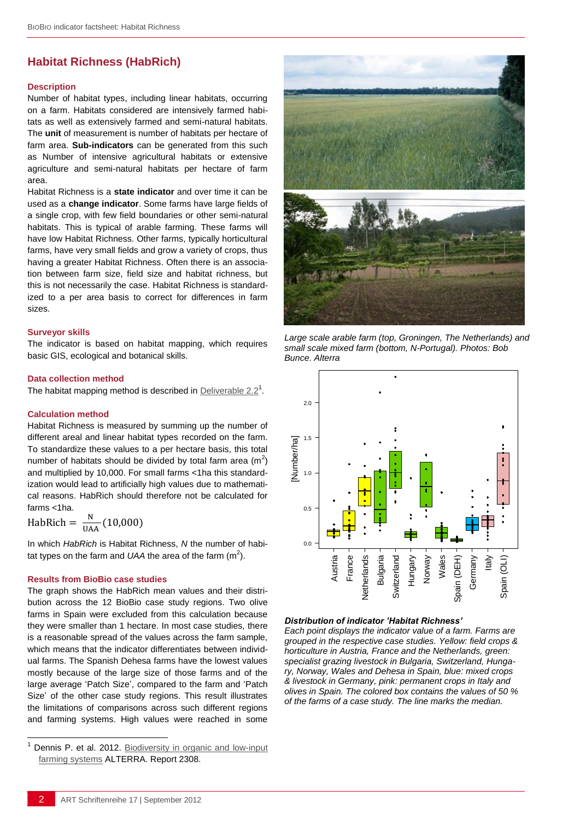# **Habitat Richness (HabRich)**

#### **Description**

Number of habitat types, including linear habitats, occurring on a farm. Habitats considered are intensively farmed habitats as well as extensively farmed and semi-natural habitats. The **unit** of measurement is number of habitats per hectare of farm area. **Sub-indicators** can be generated from this such as Number of intensive agricultural habitats or extensive agriculture and semi-natural habitats per hectare of farm area.

Habitat Richness is a **state indicator** and over time it can be used as a **change indicator**. Some farms have large fields of a single crop, with few field boundaries or other semi-natural habitats. This is typical of arable farming. These farms will have low Habitat Richness. Other farms, typically horticultural farms, have very small fields and grow a variety of crops, thus having a greater Habitat Richness. Often there is an association between farm size, field size and habitat richness, but this is not necessarily the case. Habitat Richness is standardized to a per area basis to correct for differences in farm sizes.

#### **Surveyor skills**

The indicator is based on habitat mapping, which requires basic GIS, ecological and botanical skills.

#### **Data collection method**

The habitat mapping method is described in **[Deliverable 2.2](http://www.biobio-indicator.wur.nl/UK/Publications+and+deliverables/)**<sup>1</sup>.

#### **Calculation method**

Habitat Richness is measured by summing up the number of different areal and linear habitat types recorded on the farm. To standardize these values to a per hectare basis, this total number of habitats should be divided by total farm area  $(m^2)$ and multiplied by 10,000. For small farms <1ha this standardization would lead to artificially high values due to mathematical reasons. HabRich should therefore not be calculated for farms <1ha.

HabRich =  $\frac{N}{114}$  $\frac{N}{UAA}$  (

l

In which *HabRich* is Habitat Richness, *N* the number of habitat types on the farm and UAA the area of the farm  $(m^2)$ .

#### **Results from BioBio case studies**

The graph shows the HabRich mean values and their distribution across the 12 BioBio case study regions. Two olive farms in Spain were excluded from this calculation because they were smaller than 1 hectare. In most case studies, there is a reasonable spread of the values across the farm sample, which means that the indicator differentiates between individual farms. The Spanish Dehesa farms have the lowest values mostly because of the large size of those farms and of the large average 'Patch Size', compared to the farm and 'Patch Size' of the other case study regions. This result illustrates the limitations of comparisons across such different regions and farming systems. High values were reached in some



*Large scale arable farm (top, Groningen, The Netherlands) and small scale mixed farm (bottom, N-Portugal). Photos: Bob Bunce, Alterra*



#### *Distribution of indicator 'Habitat Richness'*

*Each point displays the indicator value of a farm. Farms are grouped in the respective case studies. Yellow: field crops & horticulture in Austria, France and the Netherlands, green: specialist grazing livestock in Bulgaria, Switzerland, Hungary, Norway, Wales and Dehesa in Spain, blue: mixed crops & livestock in Germany, pink: permanent crops in Italy and olives in Spain. The colored box contains the values of 50 % of the farms of a case study. The line marks the median.* 

Dennis P. et al. 2012. Biodiversity in organic and low-input [farming systems](http://www.biobio-indicator.org/deliverables.php) ALTERRA. Report 2308.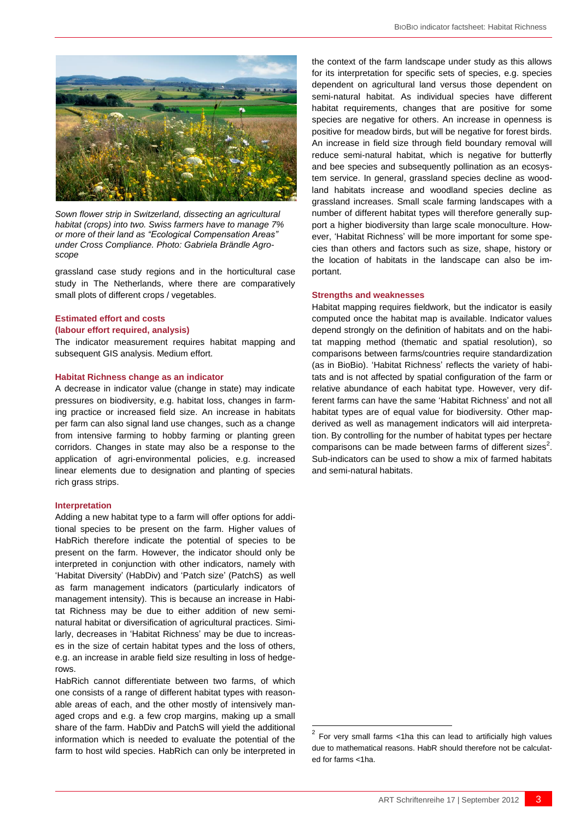

*Sown flower strip in Switzerland, dissecting an agricultural habitat (crops) into two. Swiss farmers have to manage 7% or more of their land as "Ecological Compensation Areas" under Cross Compliance. Photo: Gabriela Brändle Agroscope*

grassland case study regions and in the horticultural case study in The Netherlands, where there are comparatively small plots of different crops / vegetables.

# **Estimated effort and costs**

#### **(labour effort required, analysis)**

The indicator measurement requires habitat mapping and subsequent GIS analysis. Medium effort.

#### **Habitat Richness change as an indicator**

A decrease in indicator value (change in state) may indicate pressures on biodiversity, e.g. habitat loss, changes in farming practice or increased field size. An increase in habitats per farm can also signal land use changes, such as a change from intensive farming to hobby farming or planting green corridors. Changes in state may also be a response to the application of agri-environmental policies, e.g. increased linear elements due to designation and planting of species rich grass strips.

#### **Interpretation**

Adding a new habitat type to a farm will offer options for additional species to be present on the farm. Higher values of HabRich therefore indicate the potential of species to be present on the farm. However, the indicator should only be interpreted in conjunction with other indicators, namely with 'Habitat Diversity' (HabDiv) and 'Patch size' (PatchS) as well as farm management indicators (particularly indicators of management intensity). This is because an increase in Habitat Richness may be due to either addition of new seminatural habitat or diversification of agricultural practices. Similarly, decreases in 'Habitat Richness' may be due to increases in the size of certain habitat types and the loss of others, e.g. an increase in arable field size resulting in loss of hedgerows.

HabRich cannot differentiate between two farms, of which one consists of a range of different habitat types with reasonable areas of each, and the other mostly of intensively managed crops and e.g. a few crop margins, making up a small share of the farm. HabDiv and PatchS will yield the additional information which is needed to evaluate the potential of the farm to host wild species. HabRich can only be interpreted in the context of the farm landscape under study as this allows for its interpretation for specific sets of species, e.g. species dependent on agricultural land versus those dependent on semi-natural habitat. As individual species have different habitat requirements, changes that are positive for some species are negative for others. An increase in openness is positive for meadow birds, but will be negative for forest birds. An increase in field size through field boundary removal will reduce semi-natural habitat, which is negative for butterfly and bee species and subsequently pollination as an ecosystem service. In general, grassland species decline as woodland habitats increase and woodland species decline as grassland increases. Small scale farming landscapes with a number of different habitat types will therefore generally support a higher biodiversity than large scale monoculture. However, 'Habitat Richness' will be more important for some species than others and factors such as size, shape, history or the location of habitats in the landscape can also be important.

#### **Strengths and weaknesses**

Habitat mapping requires fieldwork, but the indicator is easily computed once the habitat map is available. Indicator values depend strongly on the definition of habitats and on the habitat mapping method (thematic and spatial resolution), so comparisons between farms/countries require standardization (as in BioBio). 'Habitat Richness' reflects the variety of habitats and is not affected by spatial configuration of the farm or relative abundance of each habitat type. However, very different farms can have the same 'Habitat Richness' and not all habitat types are of equal value for biodiversity. Other mapderived as well as management indicators will aid interpretation. By controlling for the number of habitat types per hectare comparisons can be made between farms of different sizes $2$ . Sub-indicators can be used to show a mix of farmed habitats and semi-natural habitats.

-

 $2$  For very small farms <1ha this can lead to artificially high values due to mathematical reasons. HabR should therefore not be calculated for farms <1ha.